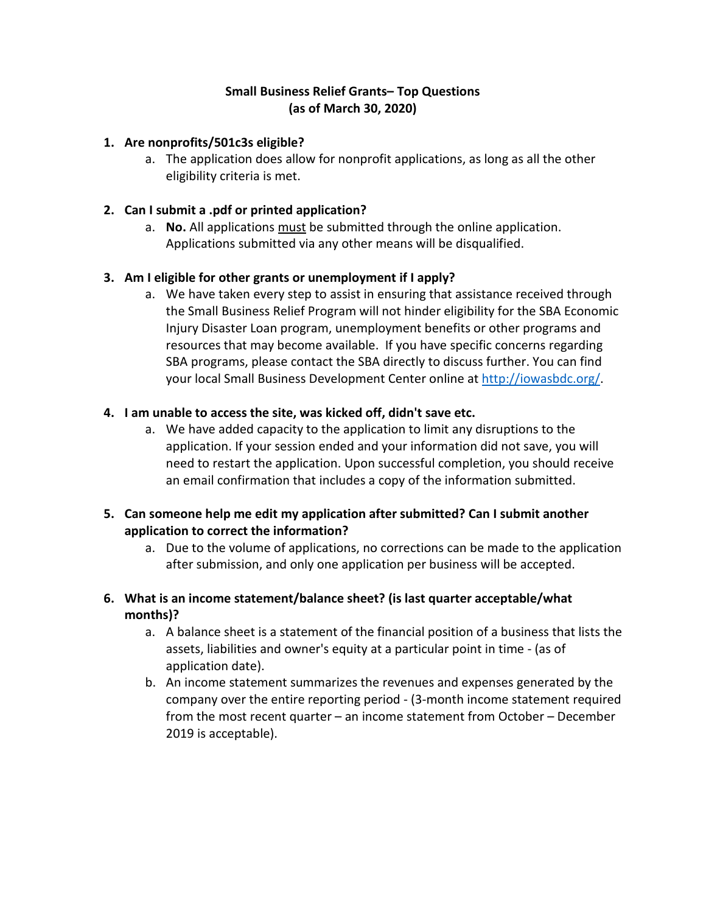# **Small Business Relief Grants– Top Questions (as of March 30, 2020)**

### **1. Are nonprofits/501c3s eligible?**

a. The application does allow for nonprofit applications, as long as all the other eligibility criteria is met.

### **2. Can I submit a .pdf or printed application?**

a. **No.** All applications must be submitted through the online application. Applications submitted via any other means will be disqualified.

# **3. Am I eligible for other grants or unemployment if I apply?**

a. We have taken every step to assist in ensuring that assistance received through the Small Business Relief Program will not hinder eligibility for the SBA Economic Injury Disaster Loan program, unemployment benefits or other programs and resources that may become available. If you have specific concerns regarding SBA programs, please contact the SBA directly to discuss further. You can find your local Small Business Development Center online at [http://iowasbdc.org/.](http://iowasbdc.org/)

# **4. I am unable to access the site, was kicked off, didn't save etc.**

a. We have added capacity to the application to limit any disruptions to the application. If your session ended and your information did not save, you will need to restart the application. Upon successful completion, you should receive an email confirmation that includes a copy of the information submitted.

### **5. Can someone help me edit my application after submitted? Can I submit another application to correct the information?**

a. Due to the volume of applications, no corrections can be made to the application after submission, and only one application per business will be accepted.

# **6. What is an income statement/balance sheet? (is last quarter acceptable/what months)?**

- a. A balance sheet is a statement of the financial position of a business that lists the assets, liabilities and owner's equity at a particular point in time - (as of application date).
- b. An income statement summarizes the revenues and expenses generated by the company over the entire reporting period - (3-month income statement required from the most recent quarter – an income statement from October – December 2019 is acceptable).